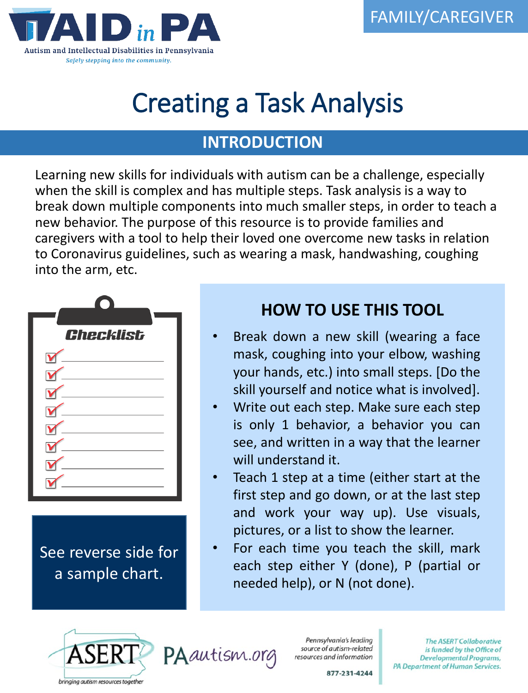

# Creating a Task Analysis

#### **INTRODUCTION**

Learning new skills for individuals with autism can be a challenge, especially when the skill is complex and has multiple steps. Task analysis is a way to break down multiple components into much smaller steps, in order to teach a new behavior. The purpose of this resource is to provide families and caregivers with a tool to help their loved one overcome new tasks in relation to Coronavirus guidelines, such as wearing a mask, handwashing, coughing into the arm, etc.



See reverse side for a sample chart.

#### **HOW TO USE THIS TOOL**

- Break down a new skill (wearing a face mask, coughing into your elbow, washing your hands, etc.) into small steps. [Do the skill yourself and notice what is involved].
- Write out each step. Make sure each step is only 1 behavior, a behavior you can see, and written in a way that the learner will understand it.
- Teach 1 step at a time (either start at the first step and go down, or at the last step and work your way up). Use visuals, pictures, or a list to show the learner.
- For each time you teach the skill, mark each step either Y (done), P (partial or needed help), or N (not done).





Pennsylvania's leading source of autism-related resources and information

**The ASERT Collaborative** is funded by the Office of **Developmental Programs,** PA Department of Human Services.

877-231-4244